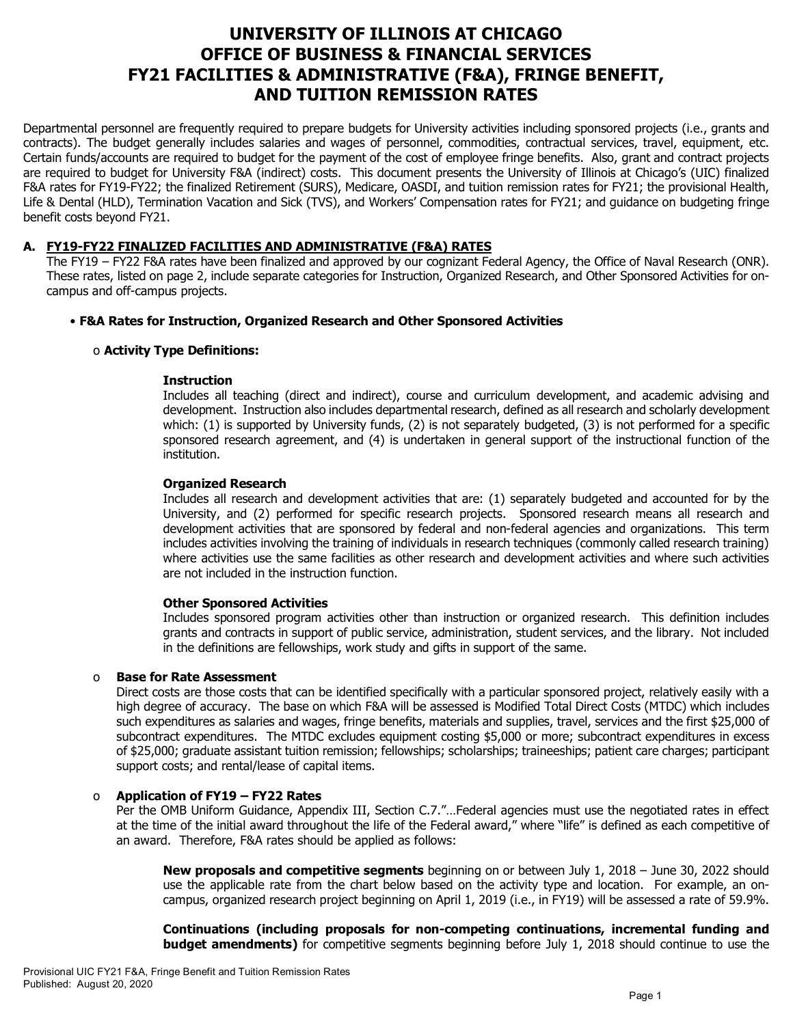# **UNIVERSITY OF ILLINOIS AT CHICAGO OFFICE OF BUSINESS & FINANCIAL SERVICES FY21 FACILITIES & ADMINISTRATIVE (F&A), FRINGE BENEFIT, AND TUITION REMISSION RATES**

Departmental personnel are frequently required to prepare budgets for University activities including sponsored projects (i.e., grants and contracts). The budget generally includes salaries and wages of personnel, commodities, contractual services, travel, equipment, etc. Certain funds/accounts are required to budget for the payment of the cost of employee fringe benefits. Also, grant and contract projects are required to budget for University F&A (indirect) costs. This document presents the University of Illinois at Chicago's (UIC) finalized F&A rates for FY19-FY22; the finalized Retirement (SURS), Medicare, OASDI, and tuition remission rates for FY21; the provisional Health, Life & Dental (HLD), Termination Vacation and Sick (TVS), and Workers' Compensation rates for FY21; and guidance on budgeting fringe benefit costs beyond FY21.

# **A. FY19-FY22 FINALIZED FACILITIES AND ADMINISTRATIVE (F&A) RATES**

The FY19 – FY22 F&A rates have been finalized and approved by our cognizant Federal Agency, the Office of Naval Research (ONR). These rates, listed on page 2, include separate categories for Instruction, Organized Research, and Other Sponsored Activities for oncampus and off-campus projects.

# • **F&A Rates for Instruction, Organized Research and Other Sponsored Activities**

## o **Activity Type Definitions:**

#### **Instruction**

Includes all teaching (direct and indirect), course and curriculum development, and academic advising and development. Instruction also includes departmental research, defined as all research and scholarly development which: (1) is supported by University funds, (2) is not separately budgeted, (3) is not performed for a specific sponsored research agreement, and (4) is undertaken in general support of the instructional function of the institution.

## **Organized Research**

Includes all research and development activities that are: (1) separately budgeted and accounted for by the University, and (2) performed for specific research projects. Sponsored research means all research and development activities that are sponsored by federal and non-federal agencies and organizations. This term includes activities involving the training of individuals in research techniques (commonly called research training) where activities use the same facilities as other research and development activities and where such activities are not included in the instruction function.

#### **Other Sponsored Activities**

Includes sponsored program activities other than instruction or organized research. This definition includes grants and contracts in support of public service, administration, student services, and the library. Not included in the definitions are fellowships, work study and gifts in support of the same.

## o **Base for Rate Assessment**

Direct costs are those costs that can be identified specifically with a particular sponsored project, relatively easily with a high degree of accuracy. The base on which F&A will be assessed is Modified Total Direct Costs (MTDC) which includes such expenditures as salaries and wages, fringe benefits, materials and supplies, travel, services and the first \$25,000 of subcontract expenditures. The MTDC excludes equipment costing \$5,000 or more; subcontract expenditures in excess of \$25,000; graduate assistant tuition remission; fellowships; scholarships; traineeships; patient care charges; participant support costs; and rental/lease of capital items.

## o **Application of FY19 – FY22 Rates**

Per the OMB Uniform Guidance, Appendix III, Section C.7."…Federal agencies must use the negotiated rates in effect at the time of the initial award throughout the life of the Federal award," where "life" is defined as each competitive of an award. Therefore, F&A rates should be applied as follows:

**New proposals and competitive segments** beginning on or between July 1, 2018 – June 30, 2022 should use the applicable rate from the chart below based on the activity type and location. For example, an oncampus, organized research project beginning on April 1, 2019 (i.e., in FY19) will be assessed a rate of 59.9%.

**Continuations (including proposals for non-competing continuations, incremental funding and budget amendments)** for competitive segments beginning before July 1, 2018 should continue to use the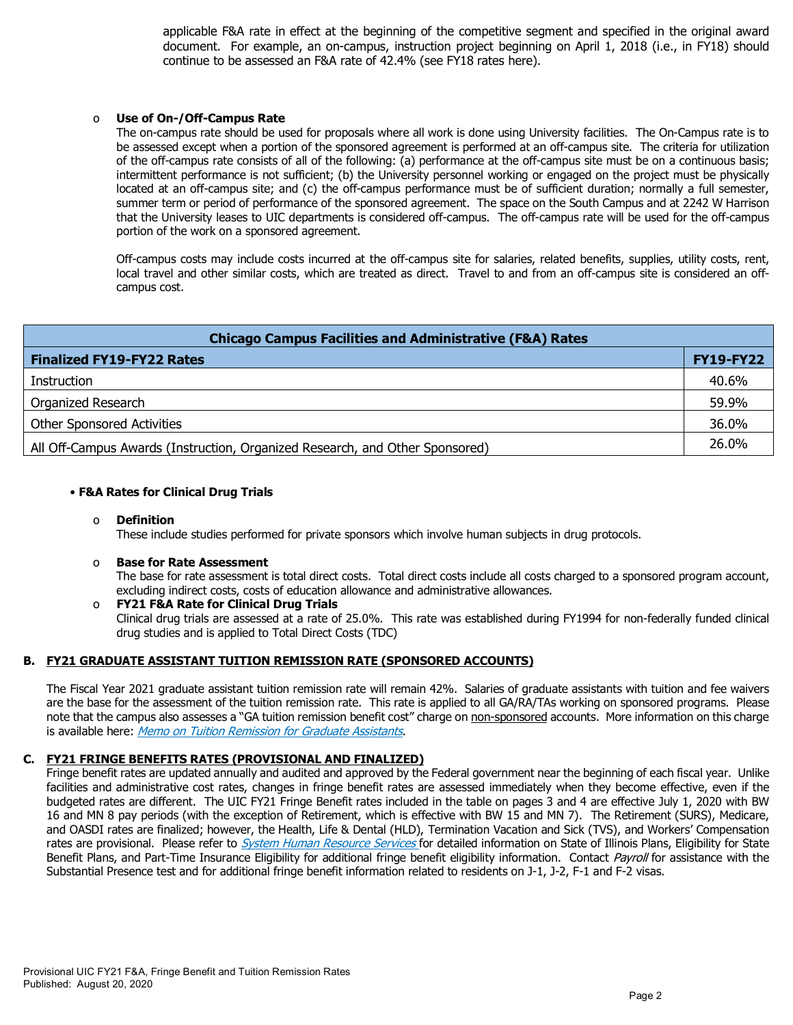applicable F&A rate in effect at the beginning of the competitive segment and specified in the original award document. For example, an on-campus, instruction project beginning on April 1, 2018 (i.e., in FY18) should continue to be assessed an F&A rate of 42.4% (see FY18 rates here).

#### o **Use of On-/Off-Campus Rate**

The on-campus rate should be used for proposals where all work is done using University facilities. The On-Campus rate is to be assessed except when a portion of the sponsored agreement is performed at an off-campus site. The criteria for utilization of the off-campus rate consists of all of the following: (a) performance at the off-campus site must be on a continuous basis; intermittent performance is not sufficient; (b) the University personnel working or engaged on the project must be physically located at an off-campus site; and (c) the off-campus performance must be of sufficient duration; normally a full semester, summer term or period of performance of the sponsored agreement. The space on the South Campus and at 2242 W Harrison that the University leases to UIC departments is considered off-campus. The off-campus rate will be used for the off-campus portion of the work on a sponsored agreement.

Off-campus costs may include costs incurred at the off-campus site for salaries, related benefits, supplies, utility costs, rent, local travel and other similar costs, which are treated as direct. Travel to and from an off-campus site is considered an offcampus cost.

| <b>Chicago Campus Facilities and Administrative (F&amp;A) Rates</b>          |                  |  |  |  |  |
|------------------------------------------------------------------------------|------------------|--|--|--|--|
| <b>Finalized FY19-FY22 Rates</b>                                             | <b>FY19-FY22</b> |  |  |  |  |
| Instruction                                                                  | 40.6%            |  |  |  |  |
| Organized Research                                                           | 59.9%            |  |  |  |  |
| <b>Other Sponsored Activities</b>                                            | 36.0%            |  |  |  |  |
| All Off-Campus Awards (Instruction, Organized Research, and Other Sponsored) | 26.0%            |  |  |  |  |

## • **F&A Rates for Clinical Drug Trials**

#### o **Definition**

These include studies performed for private sponsors which involve human subjects in drug protocols.

#### o **Base for Rate Assessment**

The base for rate assessment is total direct costs. Total direct costs include all costs charged to a sponsored program account, excluding indirect costs, costs of education allowance and administrative allowances.

#### o **FY21 F&A Rate for Clinical Drug Trials** Clinical drug trials are assessed at a rate of 25.0%. This rate was established during FY1994 for non-federally funded clinical drug studies and is applied to Total Direct Costs (TDC)

## **B. FY21 GRADUATE ASSISTANT TUITION REMISSION RATE (SPONSORED ACCOUNTS)**

The Fiscal Year 2021 graduate assistant tuition remission rate will remain 42%. Salaries of graduate assistants with tuition and fee waivers are the base for the assessment of the tuition remission rate. This rate is applied to all GA/RA/TAs working on sponsored programs. Please note that the campus also assesses a "GA tuition remission benefit cost" charge on non-sponsored accounts. More information on this charge is available here: [Memo on Tuition Remission for Graduate Assistants](https://www.obfs.uillinois.edu/common/pages/DisplayFile.aspx?itemId=436386).

## **C. FY21 FRINGE BENEFITS RATES (PROVISIONAL AND FINALIZED)**

Fringe benefit rates are updated annually and audited and approved by the Federal government near the beginning of each fiscal year. Unlike facilities and administrative cost rates, changes in fringe benefit rates are assessed immediately when they become effective, even if the budgeted rates are different. The UIC FY21 Fringe Benefit rates included in the table on pages 3 and 4 are effective July 1, 2020 with BW 16 and MN 8 pay periods (with the exception of Retirement, which is effective with BW 15 and MN 7). The Retirement (SURS), Medicare, and OASDI rates are finalized; however, the Health, Life & Dental (HLD), Termination Vacation and Sick (TVS), and Workers' Compensation rates are provisional. Please refer to *[System Human Resource Services](https://www.hr.uillinois.edu/benefits/)* for detailed information on State of Illinois Plans, Eligibility for State Benefit Plans, and Part-Time Insurance Eligibility for additional fringe benefit eligibility information. Contact [Payroll](https://www.obfs.uillinois.edu/payroll/customer-service/) for assistance with the Substantial Presence test and for additional fringe benefit information related to residents on J-1, J-2, F-1 and F-2 visas.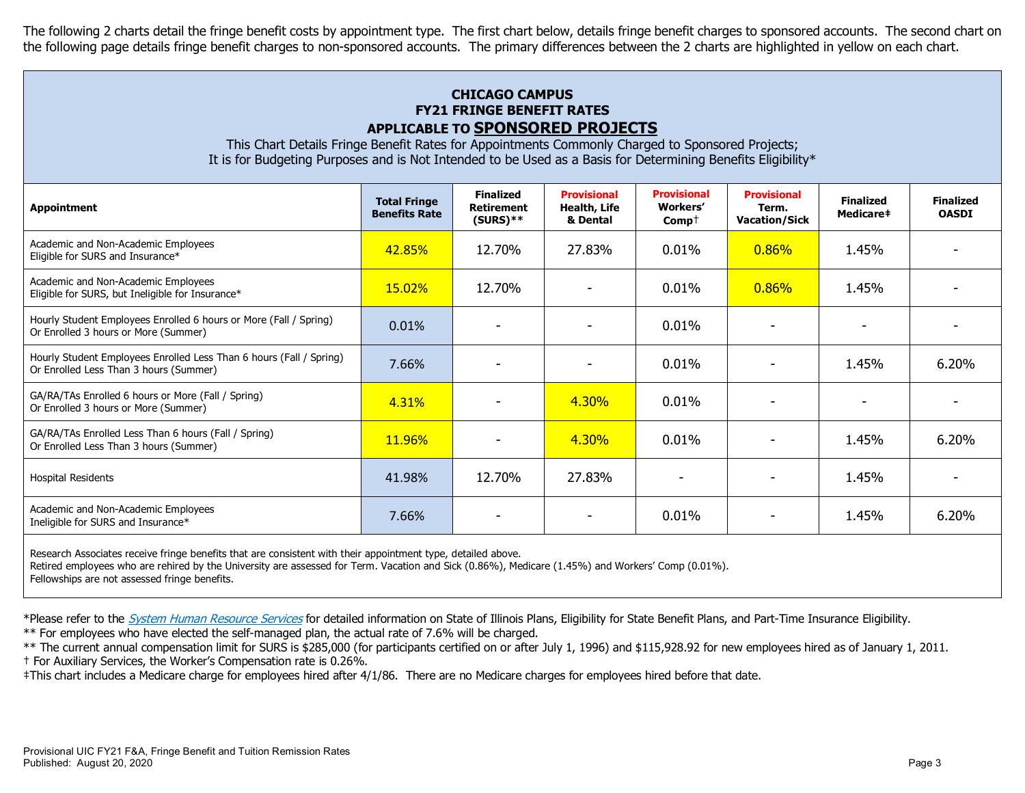The following 2 charts detail the fringe benefit costs by appointment type. The first chart below, details fringe benefit charges to sponsored accounts. The second chart on the following page details fringe benefit charges to non-sponsored accounts. The primary differences between the 2 charts are highlighted in yellow on each chart.

# **CHICAGO CAMPUS FY21 FRINGE BENEFIT RATES APPLICABLE TO SPONSORED PROJECTS**

This Chart Details Fringe Benefit Rates for Appointments Commonly Charged to Sponsored Projects; It is for Budgeting Purposes and is Not Intended to be Used as a Basis for Determining Benefits Eligibility\*

| Appointment                                                                                                   | <b>Total Fringe</b><br><b>Benefits Rate</b> | <b>Finalized</b><br><b>Retirement</b><br>$(SURS)$ ** | <b>Provisional</b><br>Health, Life<br>& Dental | <b>Provisional</b><br>Workers'<br>$\mathsf{Comp}^+$ | <b>Provisional</b><br>Term.<br><b>Vacation/Sick</b> | <b>Finalized</b><br>Medicare‡ | <b>Finalized</b><br><b>OASDI</b> |
|---------------------------------------------------------------------------------------------------------------|---------------------------------------------|------------------------------------------------------|------------------------------------------------|-----------------------------------------------------|-----------------------------------------------------|-------------------------------|----------------------------------|
| Academic and Non-Academic Employees<br>Eligible for SURS and Insurance*                                       | 42.85%                                      | 12.70%                                               | 27.83%                                         | 0.01%                                               | 0.86%                                               | 1.45%                         |                                  |
| Academic and Non-Academic Employees<br>Eligible for SURS, but Ineligible for Insurance*                       | 15.02%                                      | 12.70%                                               |                                                | 0.01%                                               | 0.86%                                               | 1.45%                         |                                  |
| Hourly Student Employees Enrolled 6 hours or More (Fall / Spring)<br>Or Enrolled 3 hours or More (Summer)     | 0.01%                                       |                                                      |                                                | 0.01%                                               |                                                     |                               |                                  |
| Hourly Student Employees Enrolled Less Than 6 hours (Fall / Spring)<br>Or Enrolled Less Than 3 hours (Summer) | 7.66%                                       |                                                      |                                                | 0.01%                                               |                                                     | 1.45%                         | 6.20%                            |
| GA/RA/TAs Enrolled 6 hours or More (Fall / Spring)<br>Or Enrolled 3 hours or More (Summer)                    | 4.31%                                       |                                                      | 4.30%                                          | 0.01%                                               |                                                     |                               |                                  |
| GA/RA/TAs Enrolled Less Than 6 hours (Fall / Spring)<br>Or Enrolled Less Than 3 hours (Summer)                | 11.96%                                      |                                                      | 4.30%                                          | 0.01%                                               |                                                     | 1.45%                         | 6.20%                            |
| <b>Hospital Residents</b>                                                                                     | 41.98%                                      | 12.70%                                               | 27.83%                                         |                                                     |                                                     | 1.45%                         |                                  |
| Academic and Non-Academic Employees<br>Ineligible for SURS and Insurance*                                     | 7.66%                                       |                                                      |                                                | 0.01%                                               |                                                     | 1.45%                         | 6.20%                            |
|                                                                                                               |                                             |                                                      |                                                |                                                     |                                                     |                               |                                  |

Research Associates receive fringe benefits that are consistent with their appointment type, detailed above.

Retired employees who are rehired by the University are assessed for Term. Vacation and Sick (0.86%), Medicare (1.45%) and Workers' Comp (0.01%).

Fellowships are not assessed fringe benefits.

\*Please refer to the [System Human Resource Services](https://www.hr.uillinois.edu/benefits/) for detailed information on State of Illinois Plans, Eligibility for State Benefit Plans, and Part-Time Insurance Eligibility.

\*\* For employees who have elected the self-managed plan, the actual rate of 7.6% will be charged.

\*\* The current annual compensation limit for SURS is \$285,000 (for participants certified on or after July 1, 1996) and \$115,928.92 for new employees hired as of January 1, 2011. † For Auxiliary Services, the Worker's Compensation rate is 0.26%.

‡This chart includes a Medicare charge for employees hired after 4/1/86. There are no Medicare charges for employees hired before that date.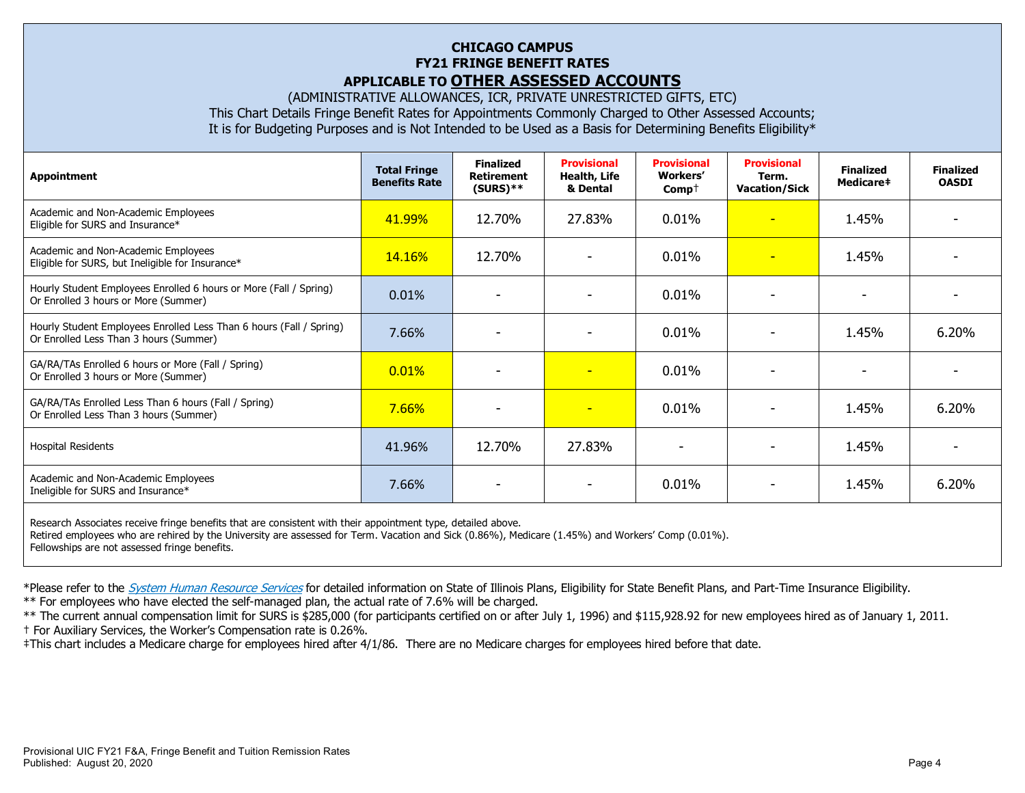# **CHICAGO CAMPUS FY21 FRINGE BENEFIT RATES APPLICABLE TO OTHER ASSESSED ACCOUNTS**

(ADMINISTRATIVE ALLOWANCES, ICR, PRIVATE UNRESTRICTED GIFTS, ETC)

This Chart Details Fringe Benefit Rates for Appointments Commonly Charged to Other Assessed Accounts;

It is for Budgeting Purposes and is Not Intended to be Used as a Basis for Determining Benefits Eligibility\*

| Appointment                                                                                                   | <b>Total Fringe</b><br><b>Benefits Rate</b> | <b>Finalized</b><br><b>Retirement</b><br>$(SURS)$ ** | <b>Provisional</b><br>Health, Life<br>& Dental | <b>Provisional</b><br><b>Workers'</b><br>$Comp+$ | <b>Provisional</b><br>Term.<br><b>Vacation/Sick</b> | <b>Finalized</b><br>Medicare# | <b>Finalized</b><br><b>OASDI</b> |
|---------------------------------------------------------------------------------------------------------------|---------------------------------------------|------------------------------------------------------|------------------------------------------------|--------------------------------------------------|-----------------------------------------------------|-------------------------------|----------------------------------|
| Academic and Non-Academic Employees<br>Eligible for SURS and Insurance*                                       | 41.99%                                      | 12.70%                                               | 27.83%                                         | 0.01%                                            | $\overline{\phantom{a}}$                            | 1.45%                         |                                  |
| Academic and Non-Academic Employees<br>Eligible for SURS, but Ineligible for Insurance*                       | <b>14.16%</b>                               | 12.70%                                               |                                                | 0.01%                                            | $\overline{\phantom{a}}$                            | 1.45%                         |                                  |
| Hourly Student Employees Enrolled 6 hours or More (Fall / Spring)<br>Or Enrolled 3 hours or More (Summer)     | 0.01%                                       |                                                      |                                                | 0.01%                                            |                                                     |                               |                                  |
| Hourly Student Employees Enrolled Less Than 6 hours (Fall / Spring)<br>Or Enrolled Less Than 3 hours (Summer) | 7.66%                                       |                                                      |                                                | 0.01%                                            |                                                     | 1.45%                         | 6.20%                            |
| GA/RA/TAs Enrolled 6 hours or More (Fall / Spring)<br>Or Enrolled 3 hours or More (Summer)                    | 0.01%                                       |                                                      | $\overline{\phantom{0}}$                       | 0.01%                                            |                                                     |                               |                                  |
| GA/RA/TAs Enrolled Less Than 6 hours (Fall / Spring)<br>Or Enrolled Less Than 3 hours (Summer)                | 7.66%                                       |                                                      | $\overline{\phantom{0}}$                       | $0.01\%$                                         |                                                     | 1.45%                         | 6.20%                            |
| <b>Hospital Residents</b>                                                                                     | 41.96%                                      | 12.70%                                               | 27.83%                                         |                                                  |                                                     | 1.45%                         |                                  |
| Academic and Non-Academic Employees<br>Ineligible for SURS and Insurance*                                     | 7.66%                                       |                                                      |                                                | 0.01%                                            |                                                     | 1.45%                         | 6.20%                            |
|                                                                                                               |                                             |                                                      |                                                |                                                  |                                                     |                               |                                  |

Research Associates receive fringe benefits that are consistent with their appointment type, detailed above. Retired employees who are rehired by the University are assessed for Term. Vacation and Sick (0.86%), Medicare (1.45%) and Workers' Comp (0.01%). Fellowships are not assessed fringe benefits.

\*Please refer to the [System Human Resource Services](https://www.hr.uillinois.edu/benefits/) for detailed information on State of Illinois Plans, Eligibility for State Benefit Plans, and Part-Time Insurance Eligibility.

\*\* For employees who have elected the self-managed plan, the actual rate of 7.6% will be charged.

\*\* The current annual compensation limit for SURS is \$285,000 (for participants certified on or after July 1, 1996) and \$115,928.92 for new employees hired as of January 1, 2011. † For Auxiliary Services, the Worker's Compensation rate is 0.26%.

‡This chart includes a Medicare charge for employees hired after 4/1/86. There are no Medicare charges for employees hired before that date.